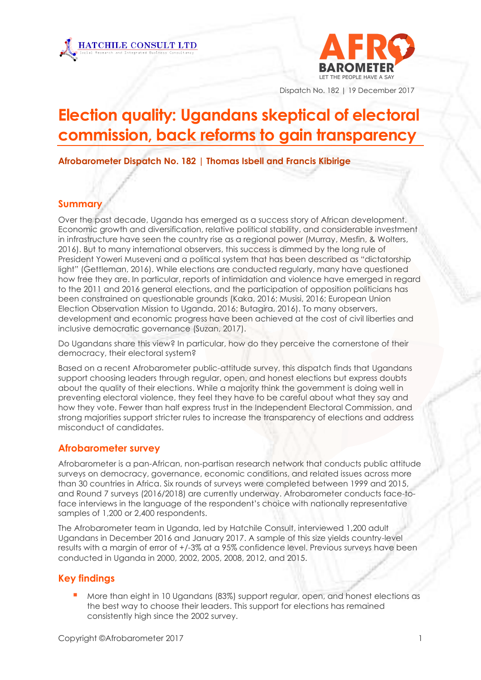



Dispatch No. 182 | 19 December 2017

# **Election quality: Ugandans skeptical of electoral commission, back reforms to gain transparency**

**Afrobarometer Dispatch No. 182 | Thomas Isbell and Francis Kibirige**

## **Summary**

Over the past decade, Uganda has emerged as a success story of African development. Economic growth and diversification, relative political stability, and considerable investment in infrastructure have seen the country rise as a regional power (Murray, Mesfin, & Wolters, 2016). But to many international observers, this success is dimmed by the long rule of President Yoweri Museveni and a political system that has been described as "dictatorship light" (Gettleman, 2016). While elections are conducted regularly, many have questioned how free they are. In particular, reports of intimidation and violence have emerged in regard to the 2011 and 2016 general elections, and the participation of opposition politicians has been constrained on questionable grounds (Kaka, 2016; Musisi, 2016; European Union Election Observation Mission to Uganda, 2016; Butagira, 2016). To many observers, development and economic progress have been achieved at the cost of civil liberties and inclusive democratic governance (Suzan, 2017).

Do Ugandans share this view? In particular, how do they perceive the cornerstone of their democracy, their electoral system?

Based on a recent Afrobarometer public-attitude survey, this dispatch finds that Ugandans support choosing leaders through regular, open, and honest elections but express doubts about the quality of their elections. While a majority think the government is doing well in preventing electoral violence, they feel they have to be careful about what they say and how they vote. Fewer than half express trust in the Independent Electoral Commission, and strong majorities support stricter rules to increase the transparency of elections and address misconduct of candidates.

## **Afrobarometer survey**

Afrobarometer is a pan-African, non-partisan research network that conducts public attitude surveys on democracy, governance, economic conditions, and related issues across more than 30 countries in Africa. Six rounds of surveys were completed between 1999 and 2015, and Round 7 surveys (2016/2018) are currently underway. Afrobarometer conducts face-toface interviews in the language of the respondent's choice with nationally representative samples of 1,200 or 2,400 respondents.

The Afrobarometer team in Uganda, led by Hatchile Consult, interviewed 1,200 adult Ugandans in December 2016 and January 2017. A sample of this size yields country-level results with a margin of error of +/-3% at a 95% confidence level. Previous surveys have been conducted in Uganda in 2000, 2002, 2005, 2008, 2012, and 2015.

## **Key findings**

More than eight in 10 Ugandans (83%) support regular, open, and honest elections as the best way to choose their leaders. This support for elections has remained consistently high since the 2002 survey.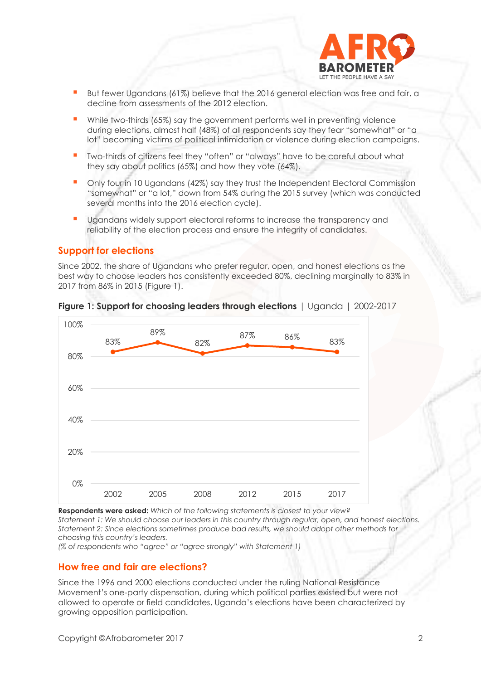

- But fewer Ugandans (61%) believe that the 2016 general election was free and fair, a decline from assessments of the 2012 election.
- While two-thirds (65%) say the government performs well in preventing violence during elections, almost half (48%) of all respondents say they fear "somewhat" or "a lot" becoming victims of political intimidation or violence during election campaigns.
- Two-thirds of citizens feel they "often" or "always" have to be careful about what they say about politics (65%) and how they vote (64%).
- Only four in 10 Ugandans (42%) say they trust the Independent Electoral Commission "somewhat" or "a lot," down from 54% during the 2015 survey (which was conducted several months into the 2016 election cycle).
- Ugandans widely support electoral reforms to increase the transparency and reliability of the election process and ensure the integrity of candidates.

#### **Support for elections**

Since 2002, the share of Ugandans who prefer regular, open, and honest elections as the best way to choose leaders has consistently exceeded 80%, declining marginally to 83% in 2017 from 86% in 2015 (Figure 1).



#### **Figure 1: Support for choosing leaders through elections** | Uganda | 2002-2017

**Respondents were asked:** *Which of the following statements is closest to your view? Statement 1: We should choose our leaders in this country through regular, open, and honest elections. Statement 2: Since elections sometimes produce bad results, we should adopt other methods for choosing this country's leaders.*

*(% of respondents who "agree" or "agree strongly" with Statement 1)*

#### **How free and fair are elections?**

Since the 1996 and 2000 elections conducted under the ruling National Resistance Movement's one-party dispensation, during which political parties existed but were not allowed to operate or field candidates, Uganda's elections have been characterized by growing opposition participation.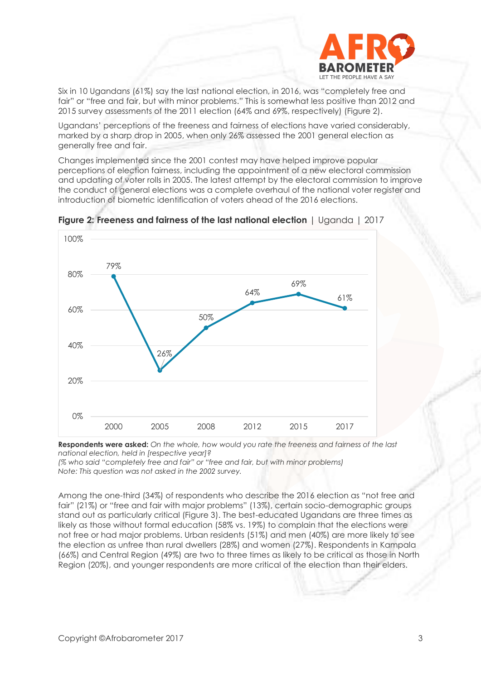

Six in 10 Ugandans (61%) say the last national election, in 2016, was "completely free and fair" or "free and fair, but with minor problems." This is somewhat less positive than 2012 and 2015 survey assessments of the 2011 election (64% and 69%, respectively) (Figure 2).

Ugandans' perceptions of the freeness and fairness of elections have varied considerably, marked by a sharp drop in 2005, when only 26% assessed the 2001 general election as generally free and fair.

Changes implemented since the 2001 contest may have helped improve popular perceptions of election fairness, including the appointment of a new electoral commission and updating of voter rolls in 2005. The latest attempt by the electoral commission to improve the conduct of general elections was a complete overhaul of the national voter register and introduction of biometric identification of voters ahead of the 2016 elections.



**Figure 2: Freeness and fairness of the last national election** | Uganda | 2017

**Respondents were asked:** *On the whole, how would you rate the freeness and fairness of the last national election, held in [respective year]?*

*(% who said "completely free and fair" or "free and fair, but with minor problems) Note: This question was not asked in the 2002 survey.*

Among the one-third (34%) of respondents who describe the 2016 election as "not free and fair" (21%) or "free and fair with major problems" (13%), certain socio-demographic groups stand out as particularly critical (Figure 3). The best-educated Ugandans are three times as likely as those without formal education (58% vs. 19%) to complain that the elections were not free or had major problems. Urban residents (51%) and men (40%) are more likely to see the election as unfree than rural dwellers (28%) and women (27%). Respondents in Kampala (66%) and Central Region (49%) are two to three times as likely to be critical as those in North Region (20%), and younger respondents are more critical of the election than their elders.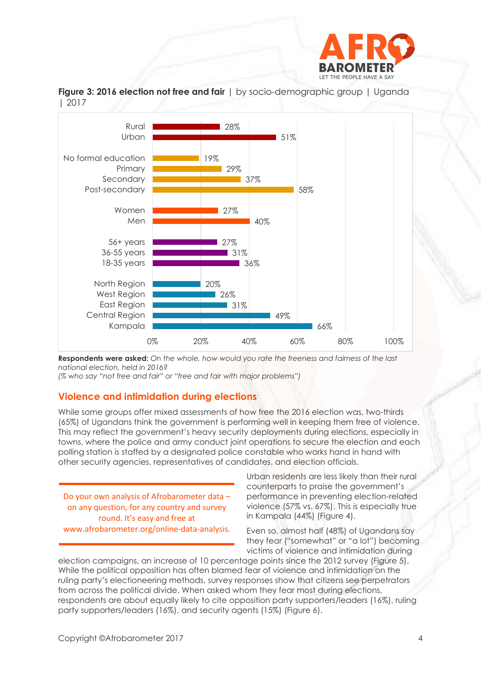



**Figure 3: 2016 election not free and fair** | by socio-demographic group | Uganda | 2017

**Respondents were asked:** *On the whole, how would you rate the freeness and fairness of the last national election, held in 2016?*

*(% who say "not free and fair" or "free and fair with major problems")*

#### **Violence and intimidation during elections**

While some groups offer mixed assessments of how free the 2016 election was, two-thirds (65%) of Ugandans think the government is performing well in keeping them free of violence. This may reflect the government's heavy security deployments during elections, especially in towns, where the police and army conduct joint operations to secure the election and each polling station is staffed by a designated police constable who works hand in hand with other security agencies, representatives of candidates, and election officials.

Do your own analysis of Afrobarometer data – on any question, for any country and survey round. It's easy and free at www.afrobarometer.org/online-data-analysis. Urban residents are less likely than their rural counterparts to praise the government's performance in preventing election-related violence (57% vs. 67%). This is especially true in Kampala (44%) (Figure 4).

Even so, almost half (48%) of Ugandans say they fear ("somewhat" or "a lot") becoming victims of violence and intimidation during

election campaigns, an increase of 10 percentage points since the 2012 survey (Figure 5). While the political opposition has often blamed fear of violence and intimidation on the ruling party's electioneering methods, survey responses show that citizens see perpetrators from across the political divide. When asked whom they fear most during elections, respondents are about equally likely to cite opposition party supporters/leaders (16%), ruling party supporters/leaders (16%), and security agents (15%) (Figure 6).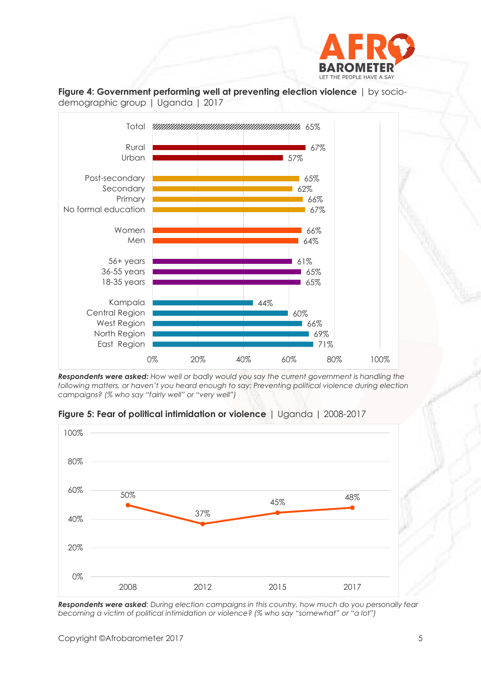



*Respondents were asked: How well or badly would you say the current government is handling the following matters, or haven't you heard enough to say: Preventing political violence during election campaigns? (% who say "fairly well" or "very well")*





*Respondents were asked: During election campaigns in this country, how much do you personally fear becoming a victim of political intimidation or violence? (% who say "somewhat" or "a lot")*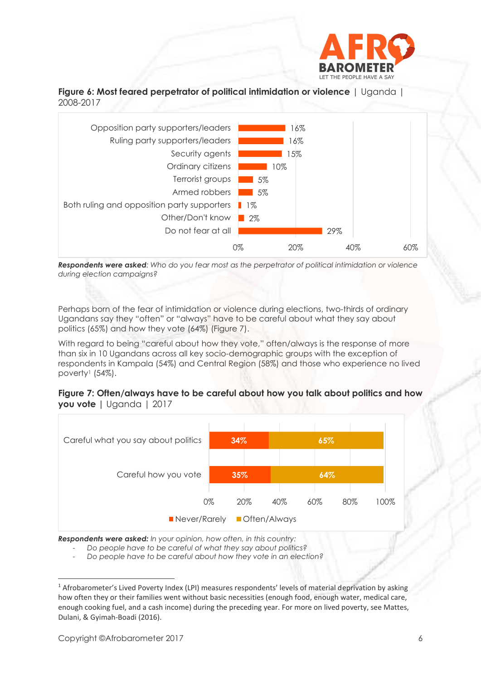

**Figure 6: Most feared perpetrator of political intimidation or violence** | Uganda | 2008-2017



*Respondents were asked: Who do you fear most as the perpetrator of political intimidation or violence during election campaigns?*

Perhaps born of the fear of intimidation or violence during elections, two-thirds of ordinary Ugandans say they "often" or "always" have to be careful about what they say about politics (65%) and how they vote (64%) (Figure 7).

With regard to being "careful about how they vote," often/always is the response of more than six in 10 Ugandans across all key socio-demographic groups with the exception of respondents in Kampala (54%) and Central Region (58%) and those who experience no lived poverty<sup>1</sup> (54%).

|                          |  |  | Figure 7: Often/always have to be careful about how you talk about politics and how |  |
|--------------------------|--|--|-------------------------------------------------------------------------------------|--|
| you vote   Uganda   2017 |  |  |                                                                                     |  |



*Respondents were asked: In your opinion, how often, in this country:*

- *Do people have to be careful of what they say about politics?*

- *Do people have to be careful about how they vote in an election?* 

<sup>&</sup>lt;sup>1</sup> Afrobarometer's Lived Poverty Index (LPI) measures respondents' levels of material deprivation by asking how often they or their families went without basic necessities (enough food, enough water, medical care, enough cooking fuel, and a cash income) during the preceding year. For more on lived poverty, see Mattes, Dulani, & Gyimah-Boadi (2016).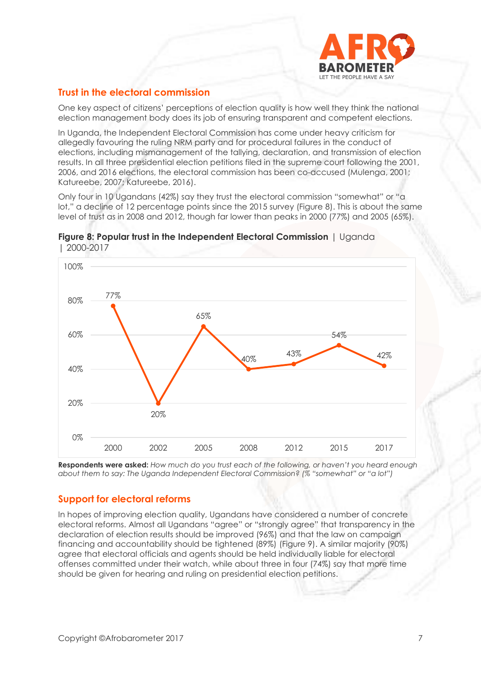

# **Trust in the electoral commission**

One key aspect of citizens' perceptions of election quality is how well they think the national election management body does its job of ensuring transparent and competent elections.

In Uganda, the Independent Electoral Commission has come under heavy criticism for allegedly favouring the ruling NRM party and for procedural failures in the conduct of elections, including mismanagement of the tallying, declaration, and transmission of election results. In all three presidential election petitions filed in the supreme court following the 2001, 2006, and 2016 elections, the electoral commission has been co-accused (Mulenga, 2001; Katureebe, 2007; Katureebe, 2016).

Only four in 10 Ugandans (42%) say they trust the electoral commission "somewhat" or "a lot," a decline of 12 percentage points since the 2015 survey (Figure 8). This is about the same level of trust as in 2008 and 2012, though far lower than peaks in 2000 (77%) and 2005 (65%).



**Figure 8: Popular trust in the Independent Electoral Commission** | Uganda | 2000-2017

**Respondents were asked:** *How much do you trust each of the following, or haven't you heard enough about them to say: The Uganda Independent Electoral Commission? (% "somewhat" or "a lot")*

## **Support for electoral reforms**

In hopes of improving election quality, Ugandans have considered a number of concrete electoral reforms. Almost all Ugandans "agree" or "strongly agree" that transparency in the declaration of election results should be improved (96%) and that the law on campaign financing and accountability should be tightened (89%) (Figure 9). A similar majority (90%) agree that electoral officials and agents should be held individually liable for electoral offenses committed under their watch, while about three in four (74%) say that more time should be given for hearing and ruling on presidential election petitions.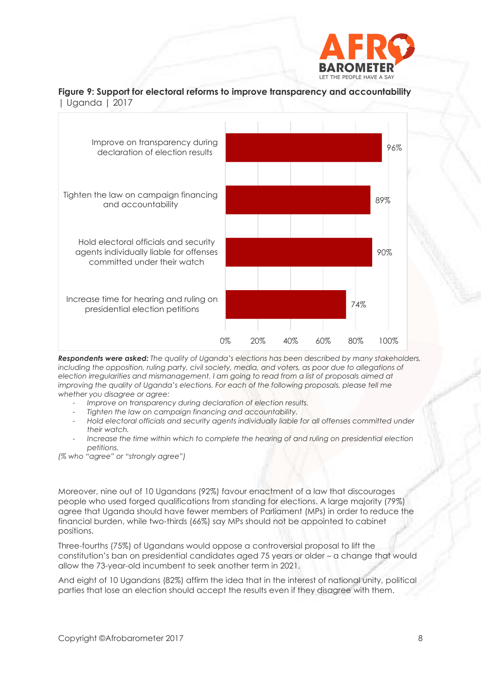

**Figure 9: Support for electoral reforms to improve transparency and accountability** | Uganda | 2017



*Respondents were asked: The quality of Uganda's elections has been described by many stakeholders, including the opposition, ruling party, civil society, media, and voters, as poor due to allegations of election irregularities and mismanagement. I am going to read from a list of proposals aimed at improving the quality of Uganda's elections. For each of the following proposals, please tell me whether you disagree or agree:*

- *Improve on transparency during declaration of election results.*
- *Tighten the law on campaign financing and accountability.*
- *Hold electoral officials and security agents individually liable for all offenses committed under their watch.*
- *Increase the time within which to complete the hearing of and ruling on presidential election petitions.*

*(% who "agree" or "strongly agree")*

Moreover, nine out of 10 Ugandans (92%) favour enactment of a law that discourages people who used forged qualifications from standing for elections. A large majority (79%) agree that Uganda should have fewer members of Parliament (MPs) in order to reduce the financial burden, while two-thirds (66%) say MPs should not be appointed to cabinet positions.

Three-fourths (75%) of Ugandans would oppose a controversial proposal to lift the constitution's ban on presidential candidates aged 75 years or older – a change that would allow the 73-year-old incumbent to seek another term in 2021.

And eight of 10 Ugandans (82%) affirm the idea that in the interest of national unity, political parties that lose an election should accept the results even if they disagree with them.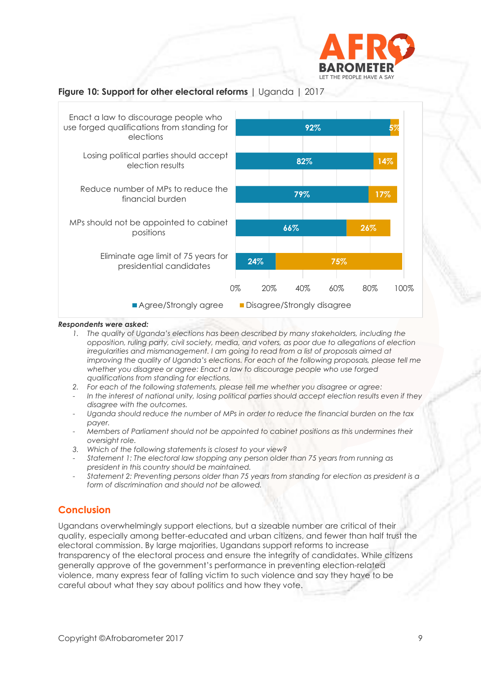

## **Figure 10: Support for other electoral reforms |** Uganda | 2017



#### *Respondents were asked:*

- *1. The quality of Uganda's elections has been described by many stakeholders, including the opposition, ruling party, civil society, media, and voters, as poor due to allegations of election irregularities and mismanagement. I am going to read from a list of proposals aimed at improving the quality of Uganda's elections. For each of the following proposals, please tell me whether you disagree or agree: Enact a law to discourage people who use forged qualifications from standing for elections.*
- *2. For each of the following statements, please tell me whether you disagree or agree:*
- *In the interest of national unity, losing political parties should accept election results even if they disagree with the outcomes.*
- *Uganda should reduce the number of MPs in order to reduce the financial burden on the tax payer.*
- *Members of Parliament should not be appointed to cabinet positions as this undermines their oversight role.*
- *3. Which of the following statements is closest to your view?*
- *Statement 1: The electoral law stopping any person older than 75 years from running as president in this country should be maintained.*
- *Statement 2: Preventing persons older than 75 years from standing for election as president is a form of discrimination and should not be allowed.*

#### **Conclusion**

Ugandans overwhelmingly support elections, but a sizeable number are critical of their quality, especially among better-educated and urban citizens, and fewer than half trust the electoral commission. By large majorities, Ugandans support reforms to increase transparency of the electoral process and ensure the integrity of candidates. While citizens generally approve of the government's performance in preventing election-related violence, many express fear of falling victim to such violence and say they have to be careful about what they say about politics and how they vote.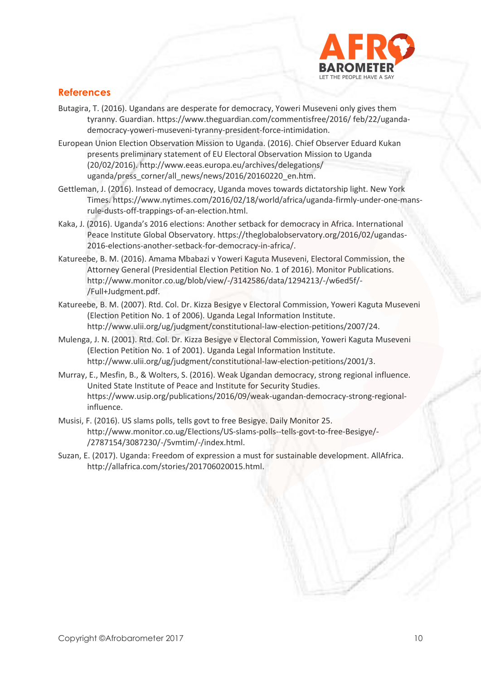

## **References**

- Butagira, T. (2016). Ugandans are desperate for democracy, Yoweri Museveni only gives them tyranny. Guardian. [https://www.theguardian.com/commentisfree/2016/](https://www.theguardian.com/commentisfree/2016/%20feb/22/uganda-democracy-yoweri-museveni-tyranny-president-force-intimidation) feb/22/uganda[democracy-yoweri-museveni-tyranny-president-force-intimidation.](https://www.theguardian.com/commentisfree/2016/%20feb/22/uganda-democracy-yoweri-museveni-tyranny-president-force-intimidation)
- European Union Election Observation Mission to Uganda. (2016). Chief Observer Eduard Kukan presents preliminary statement of EU Electoral Observation Mission to Uganda (20/02/2016). [http://www.eeas.europa.eu/archives/delegations/](http://www.eeas.europa.eu/archives/delegations/%20uganda/press_corner/all_news/news/2016/20160220_en.htm) [uganda/press\\_corner/all\\_news/news/2016/20160220\\_en.htm.](http://www.eeas.europa.eu/archives/delegations/%20uganda/press_corner/all_news/news/2016/20160220_en.htm)
- Gettleman, J. (2016). Instead of democracy, Uganda moves towards dictatorship light. New York Times[. https://www.nytimes.com/2016/02/18/world/africa/uganda-firmly-under-one-mans](https://www.nytimes.com/2016/02/18/world/africa/uganda-firmly-under-one-mans-rule-dusts-off-trappings-of-an-election.html)[rule-dusts-off-trappings-of-an-election.html.](https://www.nytimes.com/2016/02/18/world/africa/uganda-firmly-under-one-mans-rule-dusts-off-trappings-of-an-election.html)
- Kaka, J. (2016). Uganda's 2016 elections: Another setback for democracy in Africa. International Peace Institute Global Observatory. [https://theglobalobservatory.org/2016/02/ugandas-](https://theglobalobservatory.org/2016/02/ugandas-2016-elections-another-setback-for-democracy-in-africa/)[2016-elections-another-setback-for-democracy-in-africa/.](https://theglobalobservatory.org/2016/02/ugandas-2016-elections-another-setback-for-democracy-in-africa/)
- Katureebe, B. M. (2016). Amama Mbabazi v Yoweri Kaguta Museveni, Electoral Commission, the Attorney General (Presidential Election Petition No. 1 of 2016). Monitor Publications. http://www.monitor.co.ug/blob/view/-/3142586/data/1294213/-/w6ed5f/- /Full+Judgment.pdf.
- Katureebe, B. M. (2007). Rtd. Col. Dr. Kizza Besigye v Electoral Commission, Yoweri Kaguta Museveni (Election Petition No. 1 of 2006). Uganda Legal Information Institute. [http://www.ulii.org/ug/judgment/constitutional-law-election-petitions/2007/24.](http://www.ulii.org/ug/judgment/constitutional-law-election-petitions/2007/24)
- Mulenga, J. N. (2001). Rtd. Col. Dr. Kizza Besigye v Electoral Commission, Yoweri Kaguta Museveni (Election Petition No. 1 of 2001). Uganda Legal Information Institute. [http://www.ulii.org/ug/judgment/constitutional-law-election-petitions/2001/3.](http://www.ulii.org/ug/judgment/constitutional-law-election-petitions/2001/3)
- Murray, E., Mesfin, B., & Wolters, S. (2016). Weak Ugandan democracy, strong regional influence. United State Institute of Peace and Institute for Security Studies. [https://www.usip.org/publications/2016/09/weak-ugandan-democracy-strong-regional](https://www.usip.org/publications/2016/09/weak-ugandan-democracy-strong-regional-influence)[influence.](https://www.usip.org/publications/2016/09/weak-ugandan-democracy-strong-regional-influence)
- Musisi, F. (2016). US slams polls, tells govt to free Besigye. Daily Monitor 25. [http://www.monitor.co.ug/Elections/US-slams-polls--tells-govt-to-free-Besigye/-](http://www.monitor.co.ug/Elections/US-slams-polls--tells-govt-to-free-Besigye/-/2787154/3087230/-/5vmtim/-/index.html) [/2787154/3087230/-/5vmtim/-/index.html.](http://www.monitor.co.ug/Elections/US-slams-polls--tells-govt-to-free-Besigye/-/2787154/3087230/-/5vmtim/-/index.html)
- Suzan, E. (2017). Uganda: Freedom of expression a must for sustainable development. AllAfrica. [http://allafrica.com/stories/201706020015.html.](http://allafrica.com/stories/201706020015.html)